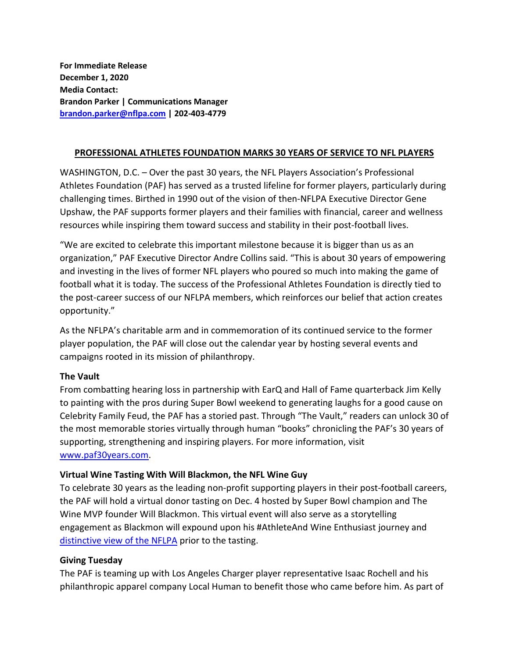**For Immediate Release December 1, 2020 Media Contact: Brandon Parker | Communications Manager [brandon.parker@nflpa.com](mailto:brandon.parker@nflpa.com) | 202-403-4779**

### **PROFESSIONAL ATHLETES FOUNDATION MARKS 30 YEARS OF SERVICE TO NFL PLAYERS**

WASHINGTON, D.C. – Over the past 30 years, the NFL Players Association's Professional Athletes Foundation (PAF) has served as a trusted lifeline for former players, particularly during challenging times. Birthed in 1990 out of the vision of then-NFLPA Executive Director Gene Upshaw, the PAF supports former players and their families with financial, career and wellness resources while inspiring them toward success and stability in their post-football lives.

"We are excited to celebrate this important milestone because it is bigger than us as an organization," PAF Executive Director Andre Collins said. "This is about 30 years of empowering and investing in the lives of former NFL players who poured so much into making the game of football what it is today. The success of the Professional Athletes Foundation is directly tied to the post-career success of our NFLPA members, which reinforces our belief that action creates opportunity."

As the NFLPA's charitable arm and in commemoration of its continued service to the former player population, the PAF will close out the calendar year by hosting several events and campaigns rooted in its mission of philanthropy.

#### **The Vault**

From combatting hearing loss in partnership with EarQ and Hall of Fame quarterback Jim Kelly to painting with the pros during Super Bowl weekend to generating laughs for a good cause on Celebrity Family Feud, the PAF has a storied past. Through "The Vault," readers can unlock 30 of the most memorable stories virtually through human "books" chronicling the PAF's 30 years of supporting, strengthening and inspiring players. For more information, visit www.paf30years.com.

#### **Virtual Wine Tasting With Will Blackmon, the NFL Wine Guy**

To celebrate 30 years as the leading non-profit supporting players in their post-football careers, the PAF will hold a virtual donor tasting on Dec. 4 hosted by Super Bowl champion and The Wine MVP founder Will Blackmon. This virtual event will also serve as a storytelling engagement as Blackmon will expound upon his #AthleteAnd Wine Enthusiast journey and [distinctive view of the NFLPA](https://twitter.com/WillBlackmon/status/1216796314765127680?s=20) prior to the tasting.

#### **Giving Tuesday**

The PAF is teaming up with Los Angeles Charger player representative Isaac Rochell and his philanthropic apparel company Local Human to benefit those who came before him. As part of